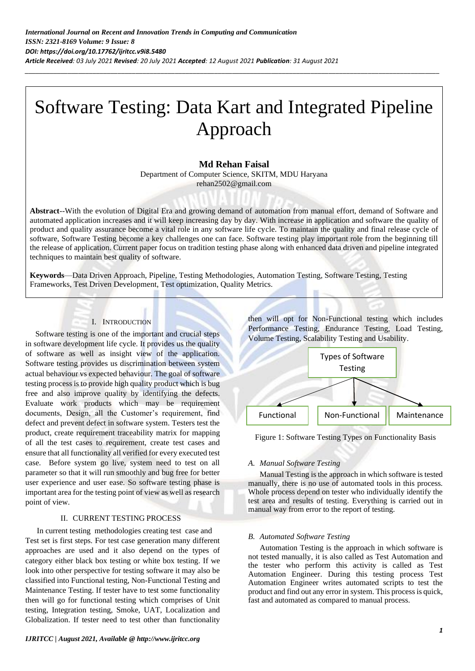# Software Testing: Data Kart and Integrated Pipeline Approach

*\_\_\_\_\_\_\_\_\_\_\_\_\_\_\_\_\_\_\_\_\_\_\_\_\_\_\_\_\_\_\_\_\_\_\_\_\_\_\_\_\_\_\_\_\_\_\_\_\_\_\_\_\_\_\_\_\_\_\_\_\_\_\_\_\_\_\_\_\_\_\_\_\_\_\_\_\_\_\_\_\_\_\_\_\_\_\_\_\_\_\_\_\_\_\_\_\_\_\_\_\_\_\_\_\_\_\_\_\_\_\_\_\_\_\_\_*

# **Md Rehan Faisal**

Department of Computer Science, SKITM, MDU Haryana rehan2502@gmail.com

**Abstract**--With the evolution of Digital Era and growing demand of automation from manual effort, demand of Software and automated application increases and it will keep increasing day by day. With increase in application and software the quality of product and quality assurance become a vital role in any software life cycle. To maintain the quality and final release cycle of software, Software Testing become a key challenges one can face. Software testing play important role from the beginning till the release of application. Current paper focus on tradition testing phase along with enhanced data driven and pipeline integrated techniques to maintain best quality of software.

**Keywords**—Data Driven Approach, Pipeline, Testing Methodologies, Automation Testing, Software Testing, Testing Frameworks, Test Driven Development, Test optimization, Quality Metrics.

## I. INTRODUCTION

 Software testing is one of the important and crucial steps in software development life cycle. It provides us the quality of software as well as insight view of the application. Software testing provides us discrimination between system actual behaviour vs expected behaviour. The goal of software testing process is to provide high quality product which is bug free and also improve quality by identifying the defects. Evaluate work products which may be requirement documents, Design, all the Customer's requirement, find defect and prevent defect in software system. Testers test the product, create requirement traceability matrix for mapping of all the test cases to requirement, create test cases and ensure that all functionality all verified for every executed test case. Before system go live, system need to test on all parameter so that it will run smoothly and bug free for better user experience and user ease. So software testing phase is important area for the testing point of view as well as research point of view.

#### II. CURRENT TESTING PROCESS

In current testing methodologies creating test case and Test set is first steps. For test case generation many different approaches are used and it also depend on the types of category either black box testing or white box testing. If we look into other perspective for testing software it may also be classified into Functional testing, Non-Functional Testing and Maintenance Testing. If tester have to test some functionality then will go for functional testing which comprises of Unit testing, Integration testing, Smoke, UAT, Localization and Globalization. If tester need to test other than functionality

then will opt for Non-Functional testing which includes Performance Testing, Endurance Testing, Load Testing, Volume Testing, Scalability Testing and Usability.



Figure 1: Software Testing Types on Functionality Basis

## *A. Manual Software Testing*

Manual Testing is the approach in which software is tested manually, there is no use of automated tools in this process. Whole process depend on tester who individually identify the test area and results of testing. Everything is carried out in manual way from error to the report of testing.

#### *B. Automated Software Testing*

Automation Testing is the approach in which software is not tested manually, it is also called as Test Automation and the tester who perform this activity is called as Test Automation Engineer. During this testing process Test Automation Engineer writes automated scripts to test the product and find out any error in system. This process is quick, fast and automated as compared to manual process.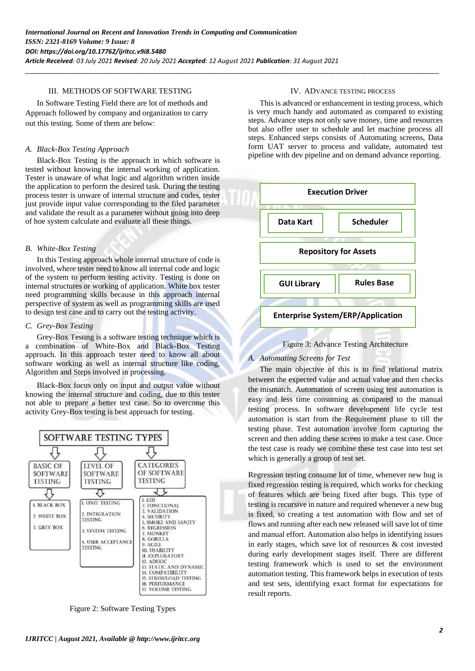*\_\_\_\_\_\_\_\_\_\_\_\_\_\_\_\_\_\_\_\_\_\_\_\_\_\_\_\_\_\_\_\_\_\_\_\_\_\_\_\_\_\_\_\_\_\_\_\_\_\_\_\_\_\_\_\_\_\_\_\_\_\_\_\_\_\_\_\_\_\_\_\_\_\_\_\_\_\_\_\_\_\_\_\_\_\_\_\_\_\_\_\_\_\_\_\_\_\_\_\_\_\_\_\_\_\_\_\_\_\_\_\_\_\_\_\_*

## III. METHODS OF SOFTWARE TESTING

In Software Testing Field there are lot of methods and Approach followed by company and organization to carry out this testing. Some of them are below:

### *A. Black-Box Testing Approach*

Black-Box Testing is the approach in which software is tested without knowing the internal working of application. Tester is unaware of what logic and algorithm written inside the application to perform the desired task. During the testing process tester is unware of internal structure and codes, tester just provide input value corresponding to the filed parameter and validate the result as a parameter without going into deep of hoe system calculate and evaluate all these things.

#### *B. White-Box Testing*

In this Testing approach whole internal structure of code is involved, where tester need to know all internal code and logic of the system to perform testing activity. Testing is done on internal structures or working of application. White box tester need programming skills because in this approach internal perspective of system as well as programming skills are used to design test case and to carry out the testing activity.

#### *C. Grey-Box Testing*

Grey-Box Testing is a software testing technique which is a combination of White-Box and Black-Box Testing approach. In this approach tester need to know all about software working as well as internal structure like coding, Algorithm and Steps involved in processing.

Black-Box focus only on input and output value without knowing the internal structure and coding, due to this tester not able to prepare a better test case. So to overcome this activity Grey-Box testing is best approach for testing.



Figure 2: Software Testing Types

#### IV. ADVANCE TESTING PROCESS

This is advanced or enhancement in testing process, which is very much handy and automated as compared to existing steps. Advance steps not only save money, time and resources but also offer user to schedule and let machine process all steps. Enhanced steps consists of Automating screens, Data form UAT server to process and validate, automated test pipeline with dev pipeline and on demand advance reporting.





#### *A. Automating Screens for Test*

The main objective of this is to find relational matrix between the expected value and actual value and then checks the mismatch. Automation of screen using test automation is easy and less time consuming as compared to the manual testing process. In software development life cycle test automation is start from the Requirement phase to till the testing phase. Test automation involve form capturing the screen and then adding these screen to make a test case. Once the test case is ready we combine these test case into test set which is generally a group of test set.

Regression testing consume lot of time, whenever new bug is fixed regression testing is required, which works for checking of features which are being fixed after bugs. This type of testing is recursive in nature and required whenever a new bug is fixed, so creating a test automation with flow and set of flows and running after each new released will save lot of time and manual effort. Automation also helps in identifying issues in early stages, which save lot of resources & cost invested during early development stages itself. There are different testing framework which is used to set the environment automation testing. This framework helps in execution of tests and test sets, identifying exact format for expectations for result reports.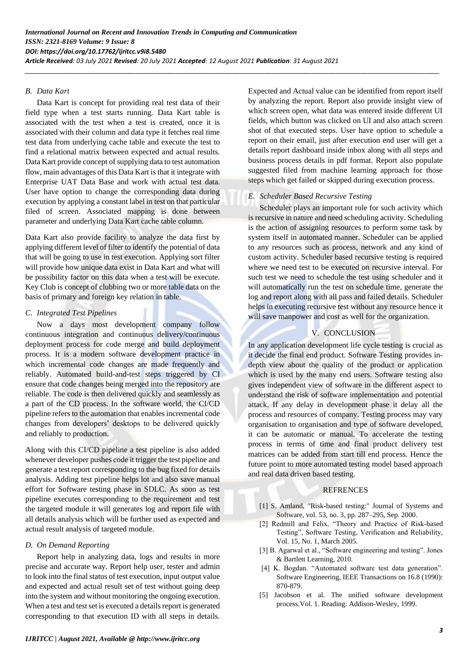*\_\_\_\_\_\_\_\_\_\_\_\_\_\_\_\_\_\_\_\_\_\_\_\_\_\_\_\_\_\_\_\_\_\_\_\_\_\_\_\_\_\_\_\_\_\_\_\_\_\_\_\_\_\_\_\_\_\_\_\_\_\_\_\_\_\_\_\_\_\_\_\_\_\_\_\_\_\_\_\_\_\_\_\_\_\_\_\_\_\_\_\_\_\_\_\_\_\_\_\_\_\_\_\_\_\_\_\_\_\_\_\_\_\_\_\_*

## *B. Data Kart*

Data Kart is concept for providing real test data of their field type when a test starts running. Data Kart table is associated with the test when a test is created, once it is associated with their column and data type it fetches real time test data from underlying cache table and execute the test to find a relational matrix between expected and actual results. Data Kart provide concept of supplying data to test automation flow, main advantages of this Data Kart is that it integrate with Enterprise UAT Data Base and work with actual test data. User have option to change the corresponding data during execution by applying a constant label in test on that particular filed of screen. Associated mapping is done between parameter and underlying Data Kart cache table column.

Data Kart also provide facility to analyze the data first by applying different level of filter to identify the potential of data that will be going to use in test execution. Applying sort filter will provide how unique data exist in Data Kart and what will be possibility factor on this data when a test will be execute. Key Club is concept of clubbing two or more table data on the basis of primary and foreign key relation in table.

## *C. Integrated Test Pipelines*

Now a days most development company follow continuous integration and continuous delivery/continuous deployment process for code merge and build deployment process. It is a modern software development practice in which incremental code changes are made frequently and reliably. Automated build-and-test steps triggered by CI ensure that code changes being merged into the repository are reliable. The code is then delivered quickly and seamlessly as a part of the CD process. In the software world, the CI/CD pipeline refers to the automation that enables incremental code changes from developers' desktops to be delivered quickly and reliably to production.

Along with this CI/CD pipeline a test pipeline is also added whenever developer pushes code it trigger the test pipeline and generate a test report corresponding to the bug fixed for details analysis. Adding test pipeline helps lot and also save manual effort for Software testing phase in SDLC. As soon as test pipeline executes corresponding to the requirement and test the targeted module it will generates log and report file with all details analysis which will be further used as expected and actual result analysis of targeted module.

## *D. On Demand Reporting*

Report help in analyzing data, logs and results in more precise and accurate way. Report help user, tester and admin to look into the final status of test execution, input output value and expected and actual result set of test without going deep into the system and without monitoring the ongoing execution. When a test and test set is executed a details report is generated corresponding to that execution ID with all steps in details.

Expected and Actual value can be identified from report itself by analyzing the report. Report also provide insight view of which screen open, what data was entered inside different UI fields, which button was clicked on UI and also attach screen shot of that executed steps. User have option to schedule a report on their email, just after execution end user will get a details report dashboard inside inbox along with all steps and business process details in pdf format. Report also populate suggested filed from machine learning approach for those steps which get failed or skipped during execution process.

# *E. Scheduler Based Recursive Testing*

Scheduler plays an important role for such activity which is recursive in nature and need scheduling activity. Scheduling is the action of assigning resources to perform some task by system itself in automated manner. Scheduler can be applied to any resources such as process, network and any kind of custom activity. Scheduler based recursive testing is required where we need test to be executed on recursive interval. For such test we need to schedule the test using scheduler and it will automatically run the test on schedule time, generate the log and report along with all pass and failed details. Scheduler helps in executing recursive test without any resource hence it will save manpower and cost as well for the organization.

# V. CONCLUSION

In any application development life cycle testing is crucial as it decide the final end product. Software Testing provides indepth view about the quality of the product or application which is used by the many end users. Software testing also gives independent view of software in the different aspect to understand the risk of software implementation and potential attack. If any delay in development phase it delay all the process and resources of company. Testing process may vary organisation to organisation and type of software developed, it can be automatic or manual. To accelerate the testing process in terms of time and final product delivery test matrices can be added from start till end process. Hence the future point to more automated testing model based approach and real data driven based testing.

## **REFRENCES**

- [1] S. Amland, "Risk-based testing:" Journal of Systems and Software, vol. 53, no. 3, pp. 287–295, Sep. 2000.
- [2] Redmill and Felix, "Theory and Practice of Risk-based Testing", Software Testing, Verification and Reliability, Vol. 15, No. 1, March 2005.
- [3] B. Agarwal et al., "Software engineering and testing". Jones & Bartlett Learning, 2010.
- [4] K. Bogdan. "Automated software test data generation". Software Engineering, IEEE Transactions on 16.8 (1990): 870-879.
- [5] Jacobson et al. The unified software development process.Vol. 1. Reading: Addison-Wesley, 1999.